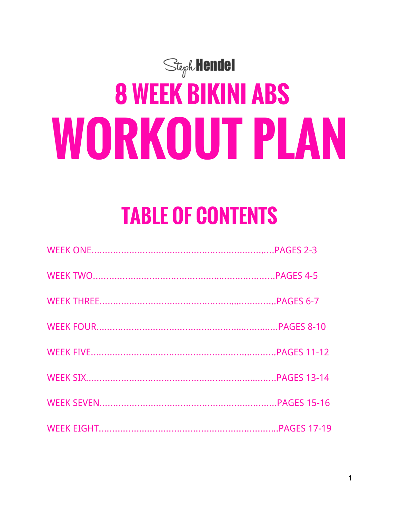# $St$ <sub>eph</sub> Hendel **8 WEEK BIKINI ABS WORKOUT PLAN**

## **TABLE OF CONTENTS**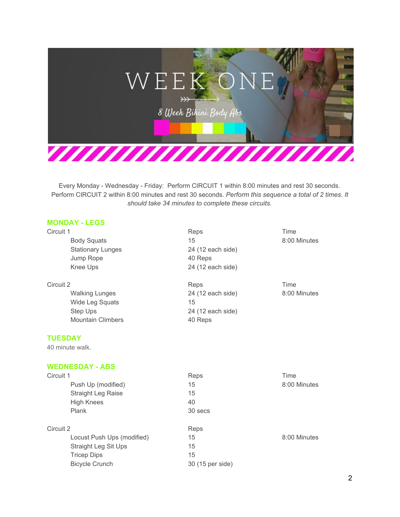

#### **MONDAY LEGS**

| Circuit 1                | Reps              | Time         |
|--------------------------|-------------------|--------------|
| <b>Body Squats</b>       | 15                | 8:00 Minutes |
| <b>Stationary Lunges</b> | 24 (12 each side) |              |
| Jump Rope                | 40 Reps           |              |
| Knee Ups                 | 24 (12 each side) |              |
| Circuit 2                | Reps              | Time         |
| <b>Walking Lunges</b>    | 24 (12 each side) | 8:00 Minutes |
| Wide Leg Squats          | 15                |              |
| Step Ups                 | 24 (12 each side) |              |
| <b>Mountain Climbers</b> | 40 Reps           |              |

#### **TUESDAY**

40 minute walk.

#### **WEDNESDAY ABS**

| Circuit 1                  | Reps             | Time         |
|----------------------------|------------------|--------------|
| Push Up (modified)         | 15               | 8:00 Minutes |
| <b>Straight Leg Raise</b>  | 15               |              |
| <b>High Knees</b>          | 40               |              |
| Plank                      | 30 secs          |              |
| Circuit 2                  | Reps             |              |
| Locust Push Ups (modified) | 15               | 8:00 Minutes |
| Straight Leg Sit Ups       | 15               |              |
| <b>Tricep Dips</b>         | 15               |              |
| <b>Bicycle Crunch</b>      | 30 (15 per side) |              |
|                            |                  |              |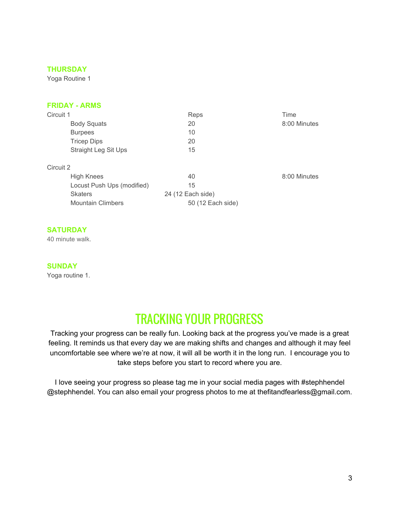Yoga Routine 1

#### **FRIDAY ARMS**

| Circuit 1                   | Reps              | Time         |
|-----------------------------|-------------------|--------------|
| <b>Body Squats</b>          | 20                | 8:00 Minutes |
| <b>Burpees</b>              | 10                |              |
| <b>Tricep Dips</b>          | 20                |              |
| <b>Straight Leg Sit Ups</b> | 15                |              |
| Circuit 2                   |                   |              |
| <b>High Knees</b>           | 40                | 8:00 Minutes |
| Locust Push Ups (modified)  | 15                |              |
| <b>Skaters</b>              | 24 (12 Each side) |              |
| <b>Mountain Climbers</b>    | 50 (12 Each side) |              |

#### **SATURDAY**

40 minute walk.

#### **SUNDAY**

Yoga routine 1.

## TRACKING YOUR PROGRESS

Tracking your progress can be really fun. Looking back at the progress you've made is a great feeling. It reminds us that every day we are making shifts and changes and although it may feel uncomfortable see where we're at now, it will all be worth it in the long run. I encourage you to take steps before you start to record where you are.

I love seeing your progress so please tag me in your social media pages with #stephhendel @stephhendel. You can also email your progress photos to me at thefitandfearless@gmail.com.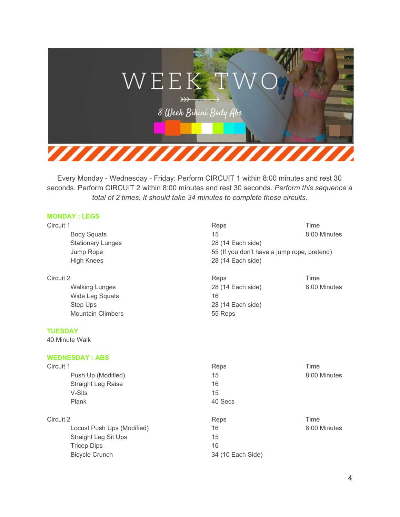

#### **MONDAY : LEGS**

Stationary Lunges 28 (14 Each side) High Knees 28 (14 Each side)

Wide Leg Squats 16 Step Ups 28 (14 Each side) Mountain Climbers 65 Reps

#### **TUESDAY**

40 Minute Walk

#### **WEDNESDAY : ABS**

| 8:00 Minutes |
|--------------|
|              |
|              |
|              |
|              |
| 8:00 Minutes |
|              |
|              |
|              |
|              |

Circuit 1 **Reps Time** Time Body Squats **15** 8:00 Minutes Jump Rope 55 (If you don't have a jump rope, pretend)

Circuit 2 **Reps Time** Time **The Security 2** Reps **Reps** Time **Reps** Time Walking Lunges **28 (14 Each side)** 8:00 Minutes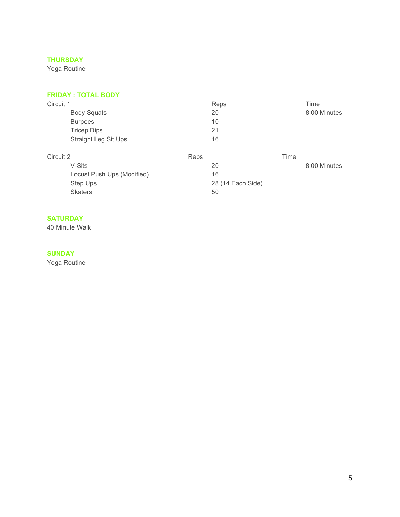Yoga Routine

#### **FRIDAY : TOTAL BODY**

| Circuit 1                  | Reps<br>Time       |  |
|----------------------------|--------------------|--|
| <b>Body Squats</b>         | 20<br>8:00 Minutes |  |
| <b>Burpees</b>             | 10                 |  |
| <b>Tricep Dips</b>         | 21                 |  |
| Straight Leg Sit Ups       | 16                 |  |
| Circuit 2                  | Time<br>Reps       |  |
| V-Sits                     | 8:00 Minutes<br>20 |  |
| Locust Push Ups (Modified) | 16                 |  |
| Step Ups                   | 28 (14 Each Side)  |  |
| <b>Skaters</b>             | 50                 |  |

#### **SATURDAY**

40 Minute Walk

#### **SUNDAY**

Yoga Routine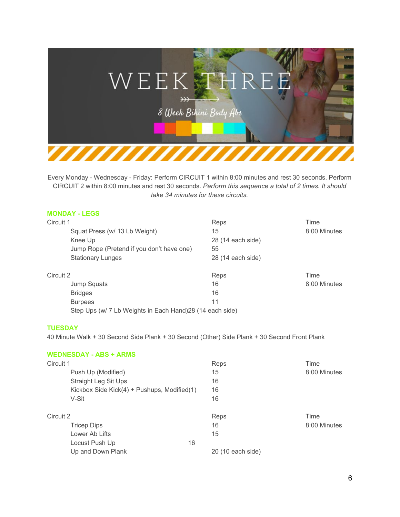

#### **MONDAY LEGS**

| Circuit 1                                                 | Reps              | Time         |
|-----------------------------------------------------------|-------------------|--------------|
| Squat Press (w/ 13 Lb Weight)                             | 15                | 8:00 Minutes |
| Knee Up                                                   | 28 (14 each side) |              |
| Jump Rope (Pretend if you don't have one)                 | 55                |              |
| <b>Stationary Lunges</b>                                  | 28 (14 each side) |              |
| Circuit 2                                                 | Reps              | Time         |
| Jump Squats                                               | 16                | 8:00 Minutes |
| <b>Bridges</b>                                            | 16                |              |
| <b>Burpees</b>                                            | 11                |              |
| Step Ups (w/ 7 Lb Weights in Each Hand) 28 (14 each side) |                   |              |

#### **TUESDAY**

40 Minute Walk + 30 Second Side Plank + 30 Second (Other) Side Plank + 30 Second Front Plank

|           | <b>WEDNESDAY - ABS + ARMS</b>               |    |                   |              |
|-----------|---------------------------------------------|----|-------------------|--------------|
| Circuit 1 |                                             |    | Reps              | Time         |
|           | Push Up (Modified)                          |    | 15                | 8:00 Minutes |
|           | <b>Straight Leg Sit Ups</b>                 |    | 16                |              |
|           | Kickbox Side Kick(4) + Pushups, Modified(1) |    | 16                |              |
|           | V-Sit                                       |    | 16                |              |
| Circuit 2 |                                             |    | Reps              | Time         |
|           | Tricep Dips                                 |    | 16                | 8:00 Minutes |
|           | Lower Ab Lifts                              |    | 15                |              |
|           | Locust Push Up                              | 16 |                   |              |
|           | Up and Down Plank                           |    | 20 (10 each side) |              |
|           |                                             |    |                   |              |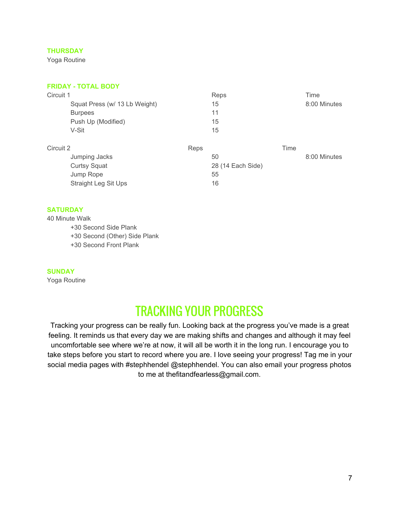Yoga Routine

#### **FRIDAY TOTAL BODY**

| Reps |      | Time              |
|------|------|-------------------|
| 15   |      | 8:00 Minutes      |
| 11   |      |                   |
| 15   |      |                   |
| 15   |      |                   |
| Reps | Time |                   |
| 50   |      | 8:00 Minutes      |
|      |      |                   |
| 55   |      |                   |
| 16   |      |                   |
|      |      | 28 (14 Each Side) |

#### **SATURDAY**

40 Minute Walk +30 Second Side Plank +30 Second (Other) Side Plank +30 Second Front Plank

#### **SUNDAY**

Yoga Routine

## TRACKING YOUR PROGRESS

Tracking your progress can be really fun. Looking back at the progress you've made is a great feeling. It reminds us that every day we are making shifts and changes and although it may feel uncomfortable see where we're at now, it will all be worth it in the long run. I encourage you to take steps before you start to record where you are. I love seeing your progress! Tag me in your social media pages with #stephhendel @stephhendel. You can also email your progress photos to me at thefitandfearless@gmail.com.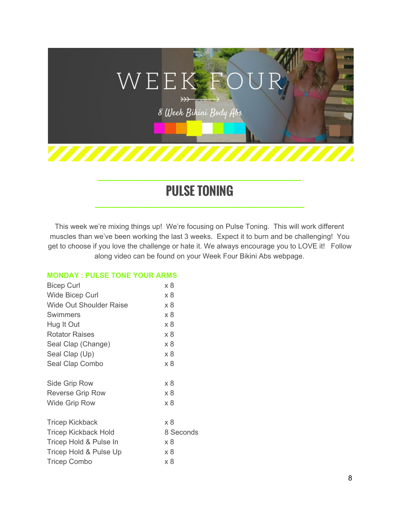

## **PULSE TONING**

**\_\_\_\_\_\_\_\_\_\_\_\_\_\_\_\_\_\_\_\_\_\_\_\_\_\_\_\_\_\_\_\_\_\_\_\_\_\_\_\_\_\_\_\_\_\_\_\_\_\_\_\_\_\_\_\_\_\_\_\_\_\_\_\_\_\_**

This week we're mixing things up! We're focusing on Pulse Toning. This will work different muscles than we've been working the last 3 weeks. Expect it to burn and be challenging! You get to choose if you love the challenge or hate it. We always encourage you to LOVE it! Follow along video can be found on your Week Four Bikini Abs webpage.

#### **MONDAY : PULSE TONE YOUR ARMS**

| <b>Bicep Curl</b>              | x 8       |
|--------------------------------|-----------|
| Wide Bicep Curl                | x 8       |
| <b>Wide Out Shoulder Raise</b> | x 8       |
| Swimmers                       | x 8       |
| Hug It Out                     | x 8       |
| <b>Rotator Raises</b>          | x 8       |
| Seal Clap (Change)             | x 8       |
| Seal Clap (Up)                 | x 8       |
| Seal Clap Combo                | x 8       |
| Side Grip Row                  | x 8       |
| <b>Reverse Grip Row</b>        | x 8       |
| <b>Wide Grip Row</b>           | x 8       |
| <b>Tricep Kickback</b>         | x 8       |
| <b>Tricep Kickback Hold</b>    | 8 Seconds |
| Tricep Hold & Pulse In         | x 8       |
| Tricep Hold & Pulse Up         | x 8       |
| <b>Tricep Combo</b>            | x 8       |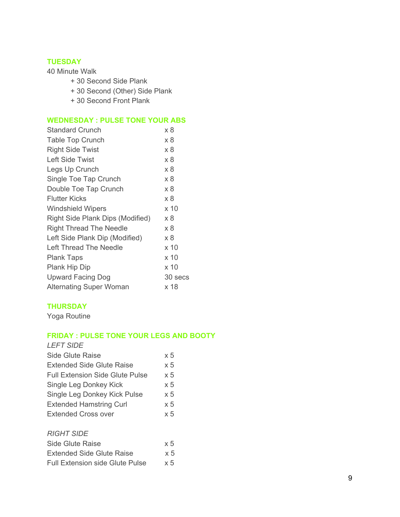#### **TUESDAY**

40 Minute Walk

- + 30 Second Side Plank
- + 30 Second (Other) Side Plank
- + 30 Second Front Plank

#### **WEDNESDAY : PULSE TONE YOUR ABS**

| <b>Standard Crunch</b>           | x 8     |
|----------------------------------|---------|
| <b>Table Top Crunch</b>          | x 8     |
| <b>Right Side Twist</b>          | x 8     |
| <b>Left Side Twist</b>           | x 8     |
| Legs Up Crunch                   | x 8     |
| Single Toe Tap Crunch            | x 8     |
| Double Toe Tap Crunch            | x 8     |
| <b>Flutter Kicks</b>             | x 8     |
| <b>Windshield Wipers</b>         | x 10    |
| Right Side Plank Dips (Modified) | x 8     |
| <b>Right Thread The Needle</b>   | x 8     |
| Left Side Plank Dip (Modified)   | x8      |
| Left Thread The Needle           | x 10    |
| <b>Plank Taps</b>                | x 10    |
| Plank Hip Dip                    | x 10    |
| <b>Upward Facing Dog</b>         | 30 secs |
| <b>Alternating Super Woman</b>   | x 18    |

#### **THURSDAY**

Yoga Routine

#### **FRIDAY : PULSE TONE YOUR LEGS AND BOOTY**

| <b>LEFT SIDE</b>                       |            |
|----------------------------------------|------------|
| Side Glute Raise                       | $\times 5$ |
| <b>Extended Side Glute Raise</b>       | $\times 5$ |
| <b>Full Extension Side Glute Pulse</b> | $\times 5$ |
| Single Leg Donkey Kick                 | $\times 5$ |
| Single Leg Donkey Kick Pulse           | x 5        |
| <b>Extended Hamstring Curl</b>         | $\times 5$ |
| Extended Cross over                    | $\times 5$ |
|                                        |            |
| <b>RIGHT SIDE</b>                      |            |

| Side Glute Raise                       | $\times 5$ |
|----------------------------------------|------------|
| <b>Extended Side Glute Raise</b>       | $\times$ 5 |
| <b>Full Extension side Glute Pulse</b> | $\times$ 5 |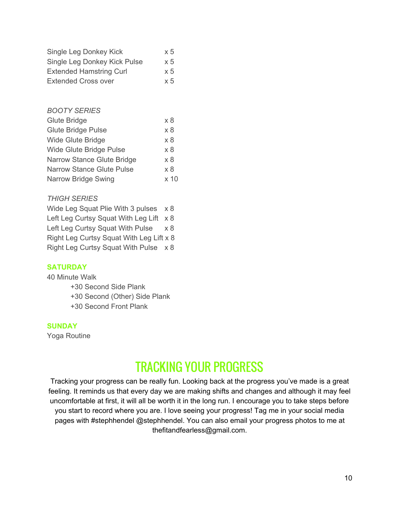| Single Leg Donkey Kick         | $\times 5$ |
|--------------------------------|------------|
| Single Leg Donkey Kick Pulse   | $\times 5$ |
| <b>Extended Hamstring Curl</b> | $\times 5$ |
| <b>Extended Cross over</b>     | $\times 5$ |

#### *BOOTY SERIES*

| Glute Bridge                     | x8              |
|----------------------------------|-----------------|
| <b>Glute Bridge Pulse</b>        | x 8             |
| <b>Wide Glute Bridge</b>         | x8              |
| Wide Glute Bridge Pulse          | x 8             |
| Narrow Stance Glute Bridge       | x 8             |
| <b>Narrow Stance Glute Pulse</b> | x 8             |
| Narrow Bridge Swing              | x <sub>10</sub> |

#### *THIGH SERIES*

| Wide Leg Squat Plie With 3 pulses x 8    |            |  |
|------------------------------------------|------------|--|
| Left Leg Curtsy Squat With Leg Lift x 8  |            |  |
| Left Leg Curtsy Squat With Pulse         | $\times 8$ |  |
| Right Leg Curtsy Squat With Leg Lift x 8 |            |  |
| Right Leg Curtsy Squat With Pulse x 8    |            |  |

#### **SATURDAY**

40 Minute Walk

+30 Second Side Plank +30 Second (Other) Side Plank +30 Second Front Plank

#### **SUNDAY**

Yoga Routine

## TRACKING YOUR PROGRESS

Tracking your progress can be really fun. Looking back at the progress you've made is a great feeling. It reminds us that every day we are making shifts and changes and although it may feel uncomfortable at first, it will all be worth it in the long run. I encourage you to take steps before you start to record where you are. I love seeing your progress! Tag me in your social media pages with #stephhendel @stephhendel. You can also email your progress photos to me at thefitandfearless@gmail.com.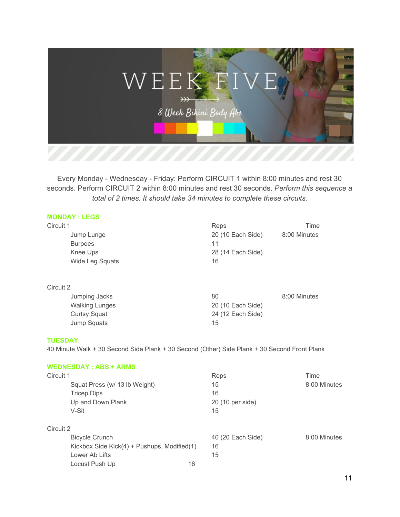

#### **MONDAY : LEGS**

| Circuit 1             | Reps              | Time         |
|-----------------------|-------------------|--------------|
| Jump Lunge            | 20 (10 Each Side) | 8:00 Minutes |
| <b>Burpees</b>        | 11                |              |
| Knee Ups              | 28 (14 Each Side) |              |
| Wide Leg Squats       | 16                |              |
| Circuit 2             |                   |              |
| Jumping Jacks         | 80                | 8:00 Minutes |
| <b>Walking Lunges</b> | 20 (10 Each Side) |              |
| <b>Curtsy Squat</b>   | 24 (12 Each Side) |              |
| Jump Squats           | 15                |              |

#### **TUESDAY**

40 Minute Walk + 30 Second Side Plank + 30 Second (Other) Side Plank + 30 Second Front Plank

#### **WEDNESDAY : ABS + ARMS**

| Circuit 1 |                                             | Reps              | Time         |
|-----------|---------------------------------------------|-------------------|--------------|
|           | Squat Press (w/ 13 lb Weight)               | 15                | 8:00 Minutes |
|           | <b>Tricep Dips</b>                          | 16                |              |
|           | Up and Down Plank                           | 20 (10 per side)  |              |
| V-Sit     |                                             | 15                |              |
| Circuit 2 |                                             |                   |              |
|           | <b>Bicycle Crunch</b>                       | 40 (20 Each Side) | 8:00 Minutes |
|           | Kickbox Side Kick(4) + Pushups, Modified(1) | 16                |              |
|           | Lower Ab Lifts                              | 15                |              |
|           | 16<br>Locust Push Up                        |                   |              |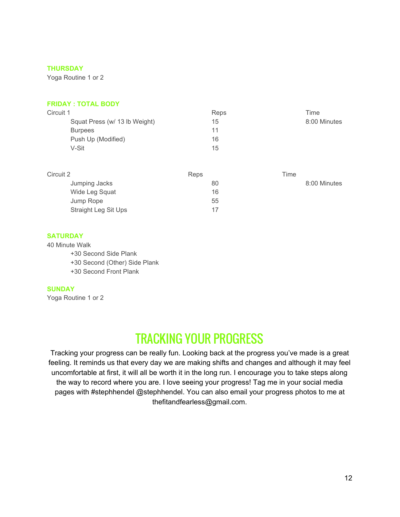Yoga Routine 1 or 2

#### **FRIDAY : TOTAL BODY**

| Circuit 1                     | Reps | Time         |
|-------------------------------|------|--------------|
| Squat Press (w/ 13 lb Weight) | 15   | 8:00 Minutes |
| <b>Burpees</b>                | 11   |              |
| Push Up (Modified)            | 16   |              |
| V-Sit                         | 15   |              |

| Circuit 2            | Reps | Time         |
|----------------------|------|--------------|
| Jumping Jacks        | 80   | 8:00 Minutes |
| Wide Leg Squat       | 16   |              |
| Jump Rope            | 55   |              |
| Straight Leg Sit Ups | 17   |              |

#### **SATURDAY**

40 Minute Walk

+30 Second Side Plank

+30 Second (Other) Side Plank

+30 Second Front Plank

#### **SUNDAY**

Yoga Routine 1 or 2

## TRACKING YOUR PROGRESS

Tracking your progress can be really fun. Looking back at the progress you've made is a great feeling. It reminds us that every day we are making shifts and changes and although it may feel uncomfortable at first, it will all be worth it in the long run. I encourage you to take steps along the way to record where you are. I love seeing your progress! Tag me in your social media pages with #stephhendel @stephhendel. You can also email your progress photos to me at thefitandfearless@gmail.com.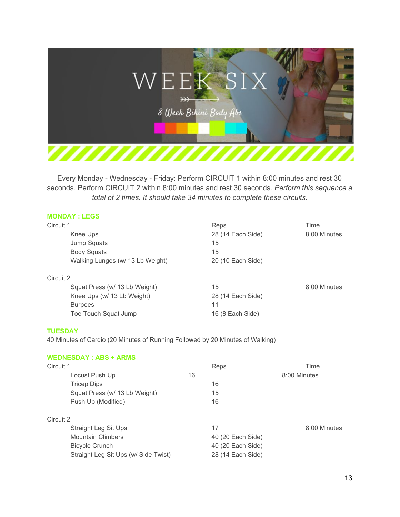

#### **MONDAY : LEGS**

| Circuit 1                        | Reps              | Time         |
|----------------------------------|-------------------|--------------|
| Knee Ups                         | 28 (14 Each Side) | 8:00 Minutes |
| Jump Squats                      | 15                |              |
| <b>Body Squats</b>               | 15                |              |
| Walking Lunges (w/ 13 Lb Weight) | 20 (10 Each Side) |              |
| Circuit 2                        |                   |              |
| Squat Press (w/ 13 Lb Weight)    | 15                | 8:00 Minutes |
| Knee Ups (w/ 13 Lb Weight)       | 28 (14 Each Side) |              |
| <b>Burpees</b>                   | 11                |              |
| Toe Touch Squat Jump             | 16 (8 Each Side)  |              |
|                                  |                   |              |

#### **TUESDAY**

40 Minutes of Cardio (20 Minutes of Running Followed by 20 Minutes of Walking)

#### **WEDNESDAY : ABS + ARMS**

| Circuit 1                            | Reps              | Time         |
|--------------------------------------|-------------------|--------------|
| Locust Push Up                       | 16                | 8:00 Minutes |
| <b>Tricep Dips</b>                   | 16                |              |
| Squat Press (w/ 13 Lb Weight)        | 15                |              |
| Push Up (Modified)                   | 16                |              |
| Circuit 2                            |                   |              |
| Straight Leg Sit Ups                 | 17                | 8:00 Minutes |
| <b>Mountain Climbers</b>             | 40 (20 Each Side) |              |
| <b>Bicycle Crunch</b>                | 40 (20 Each Side) |              |
| Straight Leg Sit Ups (w/ Side Twist) | 28 (14 Each Side) |              |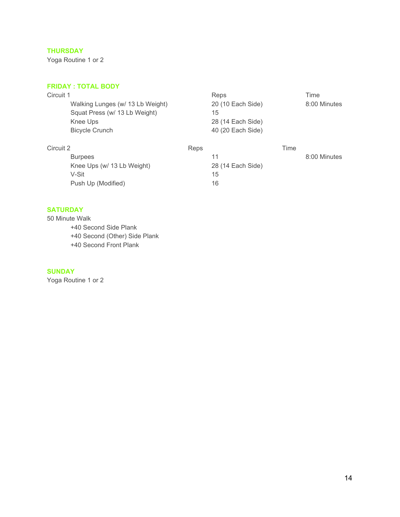Yoga Routine 1 or 2

#### **FRIDAY : TOTAL BODY**

| Circuit 1      |                                  |      | Reps              |      | Time         |
|----------------|----------------------------------|------|-------------------|------|--------------|
|                | Walking Lunges (w/ 13 Lb Weight) |      | 20 (10 Each Side) |      | 8:00 Minutes |
|                | Squat Press (w/ 13 Lb Weight)    |      | 15                |      |              |
|                | Knee Ups                         |      | 28 (14 Each Side) |      |              |
|                | <b>Bicycle Crunch</b>            |      | 40 (20 Each Side) |      |              |
| Circuit 2      |                                  | Reps |                   | Time |              |
| <b>Burpees</b> |                                  |      | 11                |      | 8:00 Minutes |
|                | Knee Ups (w/ 13 Lb Weight)       |      | 28 (14 Each Side) |      |              |
| V-Sit          |                                  |      | 15                |      |              |
|                | Push Up (Modified)               |      | 16                |      |              |

#### **SATURDAY**

50 Minute Walk +40 Second Side Plank +40 Second (Other) Side Plank +40 Second Front Plank

#### **SUNDAY**

Yoga Routine 1 or 2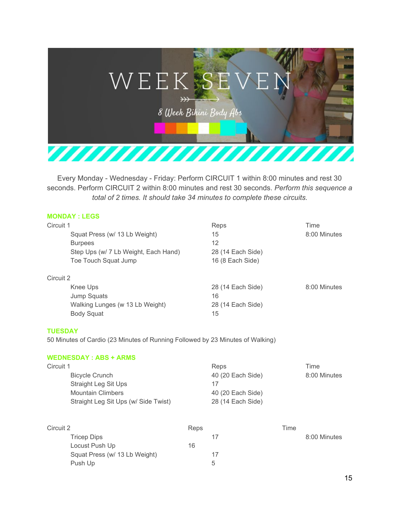

| <b>MONDAY: LEGS</b> |  |
|---------------------|--|
|                     |  |

| Circuit 1                            | Reps              | Time         |
|--------------------------------------|-------------------|--------------|
| Squat Press (w/ 13 Lb Weight)        | 15                | 8:00 Minutes |
| <b>Burpees</b>                       | 12                |              |
| Step Ups (w/ 7 Lb Weight, Each Hand) | 28 (14 Each Side) |              |
| Toe Touch Squat Jump                 | 16 (8 Each Side)  |              |
| Circuit 2                            |                   |              |
| Knee Ups                             | 28 (14 Each Side) | 8:00 Minutes |
| Jump Squats                          | 16                |              |
| Walking Lunges (w 13 Lb Weight)      | 28 (14 Each Side) |              |
| <b>Body Squat</b>                    | 15                |              |

#### **TUESDAY**

50 Minutes of Cardio (23 Minutes of Running Followed by 23 Minutes of Walking)

#### **WEDNESDAY : ABS + ARMS**

| Circuit 1                            | Reps              | Time         |
|--------------------------------------|-------------------|--------------|
| Bicycle Crunch                       | 40 (20 Each Side) | 8:00 Minutes |
| Straight Leg Sit Ups                 | 17                |              |
| Mountain Climbers                    | 40 (20 Each Side) |              |
| Straight Leg Sit Ups (w/ Side Twist) | 28 (14 Each Side) |              |

| Circuit 2                     | Reps | Time         |
|-------------------------------|------|--------------|
| Tricep Dips                   | 17   | 8:00 Minutes |
| Locust Push Up                | 16   |              |
| Squat Press (w/ 13 Lb Weight) | 17   |              |
| Push Up                       | 5    |              |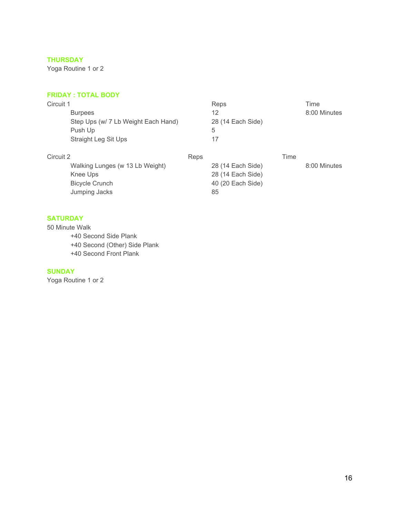Yoga Routine 1 or 2

#### **FRIDAY : TOTAL BODY**

| Circuit 1<br><b>Burpees</b><br>Step Ups (w/ 7 Lb Weight Each Hand)<br>Push Up<br>Straight Leg Sit Ups | Reps<br>12<br>28 (14 Each Side)<br>5<br>17                                | Time<br>8:00 Minutes |
|-------------------------------------------------------------------------------------------------------|---------------------------------------------------------------------------|----------------------|
| Circuit 2<br>Walking Lunges (w 13 Lb Weight)<br>Knee Ups<br><b>Bicycle Crunch</b><br>Jumping Jacks    | Reps<br>28 (14 Each Side)<br>28 (14 Each Side)<br>40 (20 Each Side)<br>85 | Time<br>8:00 Minutes |

#### **SATURDAY**

50 Minute Walk +40 Second Side Plank +40 Second (Other) Side Plank +40 Second Front Plank

#### **SUNDAY**

Yoga Routine 1 or 2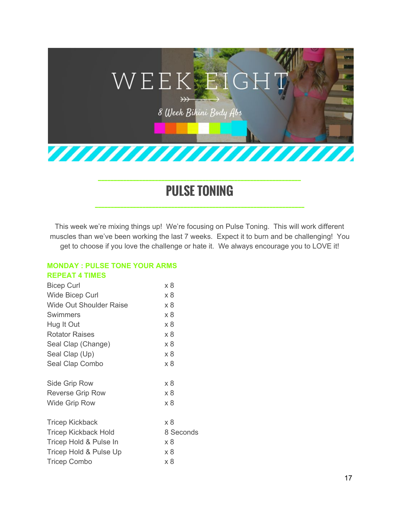

## **PULSE TONING**

**\_\_\_\_\_\_\_\_\_\_\_\_\_\_\_\_\_\_\_\_\_\_\_\_\_\_\_\_\_\_\_\_\_\_\_\_\_\_\_\_\_\_\_\_\_\_\_\_\_\_\_\_\_\_\_\_\_\_\_\_\_\_\_\_\_\_**

This week we're mixing things up! We're focusing on Pulse Toning. This will work different muscles than we've been working the last 7 weeks. Expect it to burn and be challenging! You get to choose if you love the challenge or hate it. We always encourage you to LOVE it!

#### **MONDAY : PULSE TONE YOUR ARMS REPEAT 4 TIMES**

| x 8       |
|-----------|
| x 8       |
| x 8       |
| x 8       |
| x 8       |
| x 8       |
| x 8       |
| x 8       |
| x 8       |
|           |
| x 8       |
| x 8       |
| x 8       |
|           |
| x 8       |
| 8 Seconds |
| x 8       |
| x 8       |
| x 8       |
|           |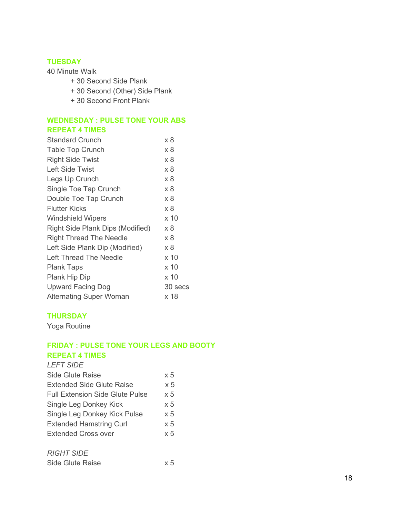#### **TUESDAY**

40 Minute Walk

- + 30 Second Side Plank
- + 30 Second (Other) Side Plank
- + 30 Second Front Plank

#### **WEDNESDAY : PULSE TONE YOUR ABS REPEAT 4 TIMES**

| <b>Standard Crunch</b>           | x 8     |
|----------------------------------|---------|
| <b>Table Top Crunch</b>          | x 8     |
| <b>Right Side Twist</b>          | x 8     |
| <b>Left Side Twist</b>           | x 8     |
| Legs Up Crunch                   | x 8     |
| Single Toe Tap Crunch            | x 8     |
| Double Toe Tap Crunch            | x 8     |
| <b>Flutter Kicks</b>             | x8      |
| <b>Windshield Wipers</b>         | x 10    |
| Right Side Plank Dips (Modified) | x 8     |
| <b>Right Thread The Needle</b>   | x 8     |
| Left Side Plank Dip (Modified)   | x 8     |
| Left Thread The Needle           | x 10    |
| <b>Plank Taps</b>                | x 10    |
| Plank Hip Dip                    | x 10    |
| <b>Upward Facing Dog</b>         | 30 secs |
| <b>Alternating Super Woman</b>   | x 18    |

#### **THURSDAY**

Yoga Routine

#### **FRIDAY : PULSE TONE YOUR LEGS AND BOOTY REPEAT 4 TIMES**

#### *LEFT SIDE*

| <b>Side Glute Raise</b>                | $\times 5$ |
|----------------------------------------|------------|
| Extended Side Glute Raise              | $\times 5$ |
| <b>Full Extension Side Glute Pulse</b> | $\times 5$ |
| Single Leg Donkey Kick                 | x 5        |
| Single Leg Donkey Kick Pulse           | $\times 5$ |
| <b>Extended Hamstring Curl</b>         | $\times 5$ |
| Extended Cross over                    | $\times 5$ |
| <b>RIGHT SIDE</b>                      |            |
| Side Glute Raise                       | x5         |